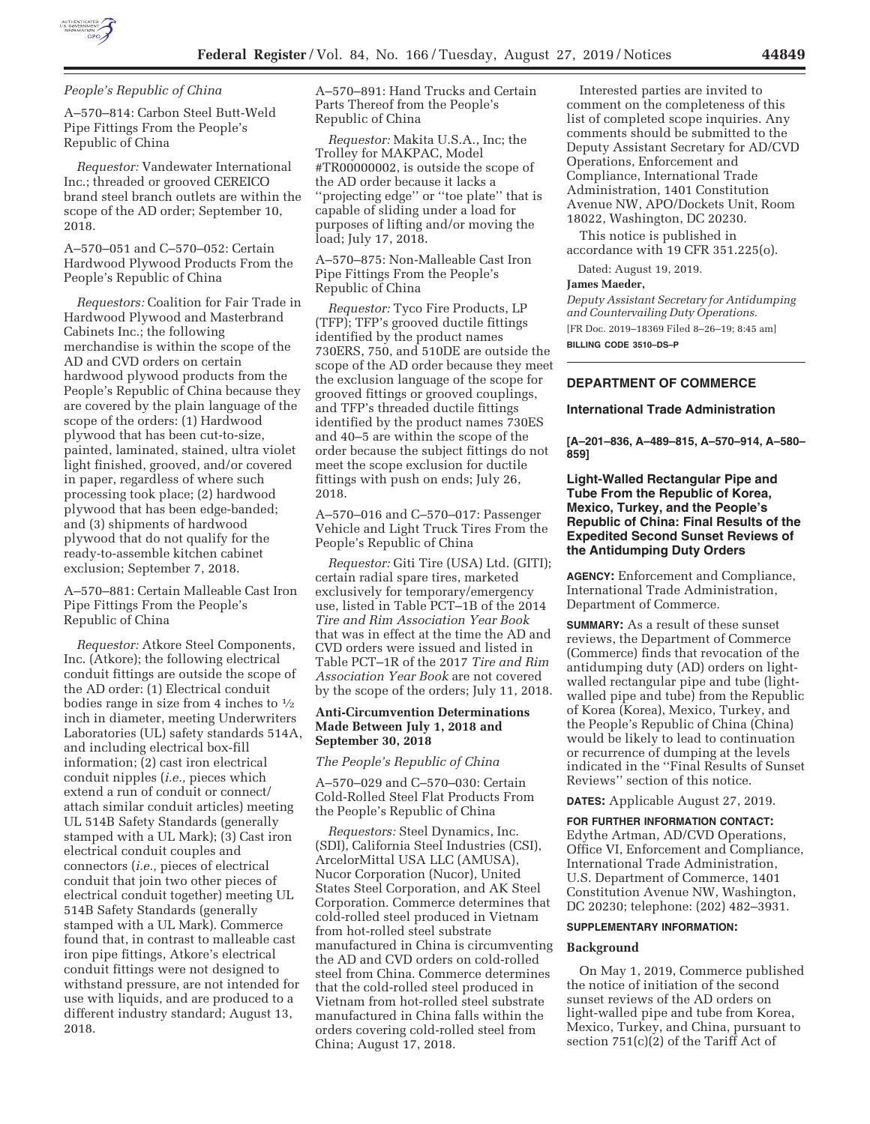

*People's Republic of China* 

A–570–814: Carbon Steel Butt-Weld Pipe Fittings From the People's Republic of China

*Requestor:* Vandewater International Inc.; threaded or grooved CEREICO brand steel branch outlets are within the scope of the AD order; September 10, 2018.

A–570–051 and C–570–052: Certain Hardwood Plywood Products From the People's Republic of China

*Requestors:* Coalition for Fair Trade in Hardwood Plywood and Masterbrand Cabinets Inc.; the following merchandise is within the scope of the AD and CVD orders on certain hardwood plywood products from the People's Republic of China because they are covered by the plain language of the scope of the orders: (1) Hardwood plywood that has been cut-to-size, painted, laminated, stained, ultra violet light finished, grooved, and/or covered in paper, regardless of where such processing took place; (2) hardwood plywood that has been edge-banded; and (3) shipments of hardwood plywood that do not qualify for the ready-to-assemble kitchen cabinet exclusion; September 7, 2018.

A–570–881: Certain Malleable Cast Iron Pipe Fittings From the People's Republic of China

*Requestor:* Atkore Steel Components, Inc. (Atkore); the following electrical conduit fittings are outside the scope of the AD order: (1) Electrical conduit bodies range in size from 4 inches to 1⁄2 inch in diameter, meeting Underwriters Laboratories (UL) safety standards 514A, and including electrical box-fill information; (2) cast iron electrical conduit nipples (*i.e.,* pieces which extend a run of conduit or connect/ attach similar conduit articles) meeting UL 514B Safety Standards (generally stamped with a UL Mark); (3) Cast iron electrical conduit couples and connectors (*i.e.,* pieces of electrical conduit that join two other pieces of electrical conduit together) meeting UL 514B Safety Standards (generally stamped with a UL Mark). Commerce found that, in contrast to malleable cast iron pipe fittings, Atkore's electrical conduit fittings were not designed to withstand pressure, are not intended for use with liquids, and are produced to a different industry standard; August 13, 2018.

A–570–891: Hand Trucks and Certain Parts Thereof from the People's Republic of China

*Requestor:* Makita U.S.A., Inc; the Trolley for MAKPAC, Model #TR00000002, is outside the scope of the AD order because it lacks a ''projecting edge'' or ''toe plate'' that is capable of sliding under a load for purposes of lifting and/or moving the load; July 17, 2018.

A–570–875: Non-Malleable Cast Iron Pipe Fittings From the People's Republic of China

*Requestor:* Tyco Fire Products, LP (TFP); TFP's grooved ductile fittings identified by the product names 730ERS, 750, and 510DE are outside the scope of the AD order because they meet the exclusion language of the scope for grooved fittings or grooved couplings, and TFP's threaded ductile fittings identified by the product names 730ES and 40–5 are within the scope of the order because the subject fittings do not meet the scope exclusion for ductile fittings with push on ends; July 26, 2018.

A–570–016 and C–570–017: Passenger Vehicle and Light Truck Tires From the People's Republic of China

*Requestor:* Giti Tire (USA) Ltd. (GITI); certain radial spare tires, marketed exclusively for temporary/emergency use, listed in Table PCT–1B of the 2014 *Tire and Rim Association Year Book*  that was in effect at the time the AD and CVD orders were issued and listed in Table PCT–1R of the 2017 *Tire and Rim Association Year Book* are not covered by the scope of the orders; July 11, 2018.

## **Anti-Circumvention Determinations Made Between July 1, 2018 and September 30, 2018**

### *The People's Republic of China*

A–570–029 and C–570–030: Certain Cold-Rolled Steel Flat Products From the People's Republic of China

*Requestors:* Steel Dynamics, Inc. (SDI), California Steel Industries (CSI), ArcelorMittal USA LLC (AMUSA), Nucor Corporation (Nucor), United States Steel Corporation, and AK Steel Corporation. Commerce determines that cold-rolled steel produced in Vietnam from hot-rolled steel substrate manufactured in China is circumventing the AD and CVD orders on cold-rolled steel from China. Commerce determines that the cold-rolled steel produced in Vietnam from hot-rolled steel substrate manufactured in China falls within the orders covering cold-rolled steel from China; August 17, 2018.

Interested parties are invited to comment on the completeness of this list of completed scope inquiries. Any comments should be submitted to the Deputy Assistant Secretary for AD/CVD Operations, Enforcement and Compliance, International Trade Administration, 1401 Constitution Avenue NW, APO/Dockets Unit, Room 18022, Washington, DC 20230.

This notice is published in accordance with 19 CFR 351.225(o).

Dated: August 19, 2019.

#### **James Maeder,**

*Deputy Assistant Secretary for Antidumping and Countervailing Duty Operations.*  [FR Doc. 2019–18369 Filed 8–26–19; 8:45 am] **BILLING CODE 3510–DS–P** 

# **DEPARTMENT OF COMMERCE**

#### **International Trade Administration**

**[A–201–836, A–489–815, A–570–914, A–580– 859]** 

## **Light-Walled Rectangular Pipe and Tube From the Republic of Korea, Mexico, Turkey, and the People's Republic of China: Final Results of the Expedited Second Sunset Reviews of the Antidumping Duty Orders**

**AGENCY:** Enforcement and Compliance, International Trade Administration, Department of Commerce.

**SUMMARY:** As a result of these sunset reviews, the Department of Commerce (Commerce) finds that revocation of the antidumping duty (AD) orders on lightwalled rectangular pipe and tube (lightwalled pipe and tube) from the Republic of Korea (Korea), Mexico, Turkey, and the People's Republic of China (China) would be likely to lead to continuation or recurrence of dumping at the levels indicated in the ''Final Results of Sunset Reviews'' section of this notice.

**DATES:** Applicable August 27, 2019.

**FOR FURTHER INFORMATION CONTACT:**  Edythe Artman, AD/CVD Operations, Office VI, Enforcement and Compliance, International Trade Administration, U.S. Department of Commerce, 1401 Constitution Avenue NW, Washington, DC 20230; telephone: (202) 482–3931.

## **SUPPLEMENTARY INFORMATION:**

### **Background**

On May 1, 2019, Commerce published the notice of initiation of the second sunset reviews of the AD orders on light-walled pipe and tube from Korea, Mexico, Turkey, and China, pursuant to section 751(c)(2) of the Tariff Act of